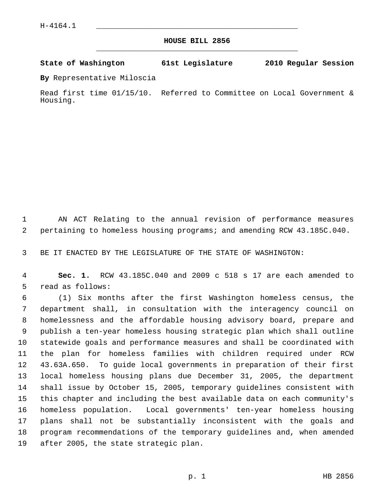## **HOUSE BILL 2856** \_\_\_\_\_\_\_\_\_\_\_\_\_\_\_\_\_\_\_\_\_\_\_\_\_\_\_\_\_\_\_\_\_\_\_\_\_\_\_\_\_\_\_\_\_

## **State of Washington 61st Legislature 2010 Regular Session**

**By** Representative Miloscia

Read first time 01/15/10. Referred to Committee on Local Government & Housing.

 1 AN ACT Relating to the annual revision of performance measures 2 pertaining to homeless housing programs; and amending RCW 43.185C.040.

3 BE IT ENACTED BY THE LEGISLATURE OF THE STATE OF WASHINGTON:

 4 **Sec. 1.** RCW 43.185C.040 and 2009 c 518 s 17 are each amended to 5 read as follows:

 6 (1) Six months after the first Washington homeless census, the 7 department shall, in consultation with the interagency council on 8 homelessness and the affordable housing advisory board, prepare and 9 publish a ten-year homeless housing strategic plan which shall outline 10 statewide goals and performance measures and shall be coordinated with 11 the plan for homeless families with children required under RCW 12 43.63A.650. To guide local governments in preparation of their first 13 local homeless housing plans due December 31, 2005, the department 14 shall issue by October 15, 2005, temporary guidelines consistent with 15 this chapter and including the best available data on each community's 16 homeless population. Local governments' ten-year homeless housing 17 plans shall not be substantially inconsistent with the goals and 18 program recommendations of the temporary guidelines and, when amended 19 after 2005, the state strategic plan.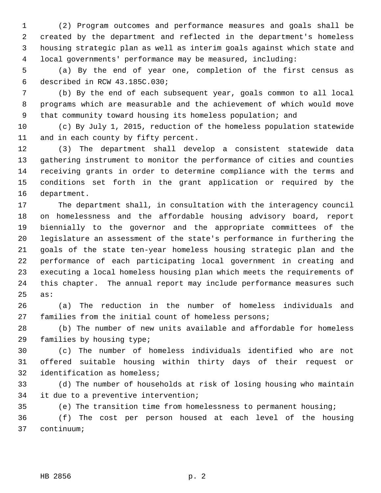1 (2) Program outcomes and performance measures and goals shall be 2 created by the department and reflected in the department's homeless 3 housing strategic plan as well as interim goals against which state and 4 local governments' performance may be measured, including:

 5 (a) By the end of year one, completion of the first census as 6 described in RCW 43.185C.030;

 7 (b) By the end of each subsequent year, goals common to all local 8 programs which are measurable and the achievement of which would move 9 that community toward housing its homeless population; and

10 (c) By July 1, 2015, reduction of the homeless population statewide 11 and in each county by fifty percent.

12 (3) The department shall develop a consistent statewide data 13 gathering instrument to monitor the performance of cities and counties 14 receiving grants in order to determine compliance with the terms and 15 conditions set forth in the grant application or required by the 16 department.

17 The department shall, in consultation with the interagency council 18 on homelessness and the affordable housing advisory board, report 19 biennially to the governor and the appropriate committees of the 20 legislature an assessment of the state's performance in furthering the 21 goals of the state ten-year homeless housing strategic plan and the 22 performance of each participating local government in creating and 23 executing a local homeless housing plan which meets the requirements of 24 this chapter. The annual report may include performance measures such 25 as:

26 (a) The reduction in the number of homeless individuals and 27 families from the initial count of homeless persons;

28 (b) The number of new units available and affordable for homeless 29 families by housing type;

30 (c) The number of homeless individuals identified who are not 31 offered suitable housing within thirty days of their request or 32 identification as homeless;

33 (d) The number of households at risk of losing housing who maintain 34 it due to a preventive intervention;

35 (e) The transition time from homelessness to permanent housing; 36 (f) The cost per person housed at each level of the housing

37 continuum;